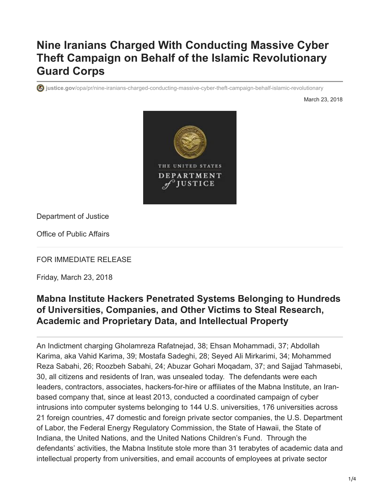# **Nine Iranians Charged With Conducting Massive Cyber Theft Campaign on Behalf of the Islamic Revolutionary Guard Corps**

**justice.gov**[/opa/pr/nine-iranians-charged-conducting-massive-cyber-theft-campaign-behalf-islamic-revolutionary](https://www.justice.gov/opa/pr/nine-iranians-charged-conducting-massive-cyber-theft-campaign-behalf-islamic-revolutionary)

March 23, 2018



Department of Justice

Office of Public Affairs

FOR IMMEDIATE RELEASE

Friday, March 23, 2018

## **Mabna Institute Hackers Penetrated Systems Belonging to Hundreds of Universities, Companies, and Other Victims to Steal Research, Academic and Proprietary Data, and Intellectual Property**

An Indictment charging Gholamreza Rafatnejad, 38; Ehsan Mohammadi, 37; Abdollah Karima, aka Vahid Karima, 39; Mostafa Sadeghi, 28; Seyed Ali Mirkarimi, 34; Mohammed Reza Sabahi, 26; Roozbeh Sabahi, 24; Abuzar Gohari Moqadam, 37; and Sajjad Tahmasebi, 30, all citizens and residents of Iran, was unsealed today. The defendants were each leaders, contractors, associates, hackers-for-hire or affiliates of the Mabna Institute, an Iranbased company that, since at least 2013, conducted a coordinated campaign of cyber intrusions into computer systems belonging to 144 U.S. universities, 176 universities across 21 foreign countries, 47 domestic and foreign private sector companies, the U.S. Department of Labor, the Federal Energy Regulatory Commission, the State of Hawaii, the State of Indiana, the United Nations, and the United Nations Children's Fund. Through the defendants' activities, the Mabna Institute stole more than 31 terabytes of academic data and intellectual property from universities, and email accounts of employees at private sector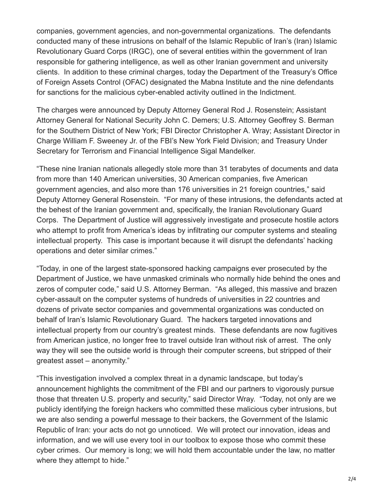companies, government agencies, and non-governmental organizations. The defendants conducted many of these intrusions on behalf of the Islamic Republic of Iran's (Iran) Islamic Revolutionary Guard Corps (IRGC), one of several entities within the government of Iran responsible for gathering intelligence, as well as other Iranian government and university clients. In addition to these criminal charges, today the Department of the Treasury's Office of Foreign Assets Control (OFAC) designated the Mabna Institute and the nine defendants for sanctions for the malicious cyber-enabled activity outlined in the Indictment.

The charges were announced by Deputy Attorney General Rod J. Rosenstein; Assistant Attorney General for National Security John C. Demers; U.S. Attorney Geoffrey S. Berman for the Southern District of New York; FBI Director Christopher A. Wray; Assistant Director in Charge William F. Sweeney Jr. of the FBI's New York Field Division; and Treasury Under Secretary for Terrorism and Financial Intelligence Sigal Mandelker.

"These nine Iranian nationals allegedly stole more than 31 terabytes of documents and data from more than 140 American universities, 30 American companies, five American government agencies, and also more than 176 universities in 21 foreign countries," said Deputy Attorney General Rosenstein. "For many of these intrusions, the defendants acted at the behest of the Iranian government and, specifically, the Iranian Revolutionary Guard Corps. The Department of Justice will aggressively investigate and prosecute hostile actors who attempt to profit from America's ideas by infiltrating our computer systems and stealing intellectual property. This case is important because it will disrupt the defendants' hacking operations and deter similar crimes."

"Today, in one of the largest state-sponsored hacking campaigns ever prosecuted by the Department of Justice, we have unmasked criminals who normally hide behind the ones and zeros of computer code," said U.S. Attorney Berman. "As alleged, this massive and brazen cyber-assault on the computer systems of hundreds of universities in 22 countries and dozens of private sector companies and governmental organizations was conducted on behalf of Iran's Islamic Revolutionary Guard. The hackers targeted innovations and intellectual property from our country's greatest minds. These defendants are now fugitives from American justice, no longer free to travel outside Iran without risk of arrest. The only way they will see the outside world is through their computer screens, but stripped of their greatest asset – anonymity."

"This investigation involved a complex threat in a dynamic landscape, but today's announcement highlights the commitment of the FBI and our partners to vigorously pursue those that threaten U.S. property and security," said Director Wray. "Today, not only are we publicly identifying the foreign hackers who committed these malicious cyber intrusions, but we are also sending a powerful message to their backers, the Government of the Islamic Republic of Iran: your acts do not go unnoticed. We will protect our innovation, ideas and information, and we will use every tool in our toolbox to expose those who commit these cyber crimes. Our memory is long; we will hold them accountable under the law, no matter where they attempt to hide."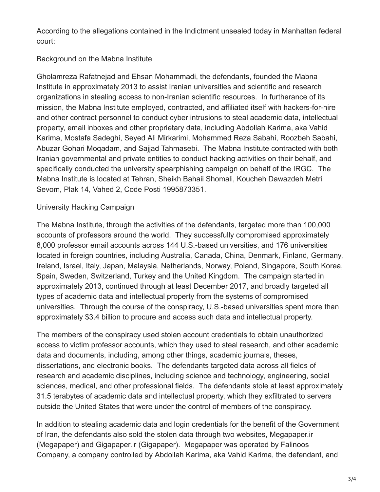According to the allegations contained in the Indictment unsealed today in Manhattan federal court:

### Background on the Mabna Institute

Gholamreza Rafatnejad and Ehsan Mohammadi, the defendants, founded the Mabna Institute in approximately 2013 to assist Iranian universities and scientific and research organizations in stealing access to non-Iranian scientific resources. In furtherance of its mission, the Mabna Institute employed, contracted, and affiliated itself with hackers-for-hire and other contract personnel to conduct cyber intrusions to steal academic data, intellectual property, email inboxes and other proprietary data, including Abdollah Karima, aka Vahid Karima, Mostafa Sadeghi, Seyed Ali Mirkarimi, Mohammed Reza Sabahi, Roozbeh Sabahi, Abuzar Gohari Moqadam, and Sajjad Tahmasebi. The Mabna Institute contracted with both Iranian governmental and private entities to conduct hacking activities on their behalf, and specifically conducted the university spearphishing campaign on behalf of the IRGC. The Mabna Institute is located at Tehran, Sheikh Bahaii Shomali, Koucheh Dawazdeh Metri Sevom, Plak 14, Vahed 2, Code Posti 1995873351.

### University Hacking Campaign

The Mabna Institute, through the activities of the defendants, targeted more than 100,000 accounts of professors around the world. They successfully compromised approximately 8,000 professor email accounts across 144 U.S.-based universities, and 176 universities located in foreign countries, including Australia, Canada, China, Denmark, Finland, Germany, Ireland, Israel, Italy, Japan, Malaysia, Netherlands, Norway, Poland, Singapore, South Korea, Spain, Sweden, Switzerland, Turkey and the United Kingdom. The campaign started in approximately 2013, continued through at least December 2017, and broadly targeted all types of academic data and intellectual property from the systems of compromised universities. Through the course of the conspiracy, U.S.-based universities spent more than approximately \$3.4 billion to procure and access such data and intellectual property.

The members of the conspiracy used stolen account credentials to obtain unauthorized access to victim professor accounts, which they used to steal research, and other academic data and documents, including, among other things, academic journals, theses, dissertations, and electronic books. The defendants targeted data across all fields of research and academic disciplines, including science and technology, engineering, social sciences, medical, and other professional fields. The defendants stole at least approximately 31.5 terabytes of academic data and intellectual property, which they exfiltrated to servers outside the United States that were under the control of members of the conspiracy.

In addition to stealing academic data and login credentials for the benefit of the Government of Iran, the defendants also sold the stolen data through two websites, Megapaper.ir (Megapaper) and Gigapaper.ir (Gigapaper). Megapaper was operated by Falinoos Company, a company controlled by Abdollah Karima, aka Vahid Karima, the defendant, and